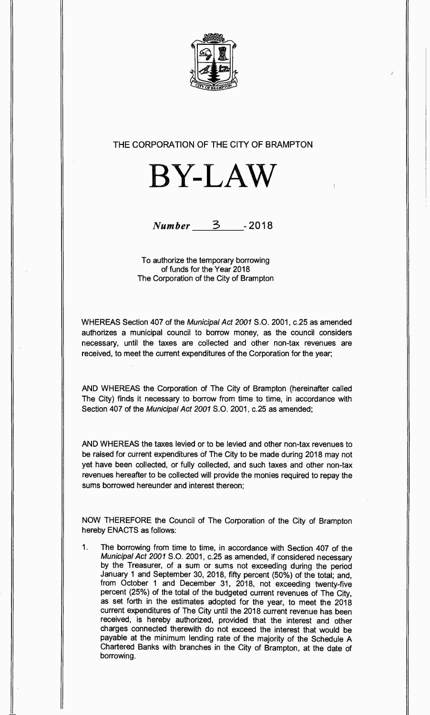

## THE CORPORATION OF THE CITY OF BRAMPTON





To authorize the temporary borrowing of funds for the Year 2018 The Corporation of the City of Brampton

WHEREAS Section 407 of the *Municipal Act 2001 S.O.* 2001, c.25 as amended authorizes a municipal council to borrow money, as the council considers necessary, until the taxes are collected and other non-tax revenues are received, to meet the current expenditures of the Corporation for the year;

AND WHEREAS the Corporation of The City of Brampton (hereinafter called The City) finds it necessary to borrow from time to time, in accordance with Section 407 of the *Municipal Act 2001 S.O.* 2001, c.25 as amended;

AND WHEREAS the taxes levied or to be levied and other non-tax revenues to be raised for current expenditures of The City to be made during 2018 may not yet have been collected, or fully collected, and such taxes and other non-tax revenues hereafter to be collected will provide the monies required to repay the sums borrowed hereunder and interest thereon;

NOW THEREFORE the Council of The Corporation of the City of Brampton hereby ENACTS as follows:

 $1.$ The borrowing from time to time, in accordance with Section 407 of the *Municipal Act 2001 S.O.* 2001, c.25 as amended, if considered necessary by the Treasurer, of a sum or sums not exceeding during the period January 1 and September 30, 2018, fifty percent (50%) of the total; and, from October 1 and December 31, 2018, not exceeding twenty-five percent (25%) of the total of the budgeted current revenues of The City, as set forth in the estimates adopted for the year, to meet the 2018 current expenditures of The City until the 2018 current revenue has been received, is hereby authorized, provided that the interest and other charges connected therewith do not exceed the interest that would be payable at the minimum lending rate of the majority of the Schedule A Chartered Banks with branches in the City of Brampton, at the date of borrowing.